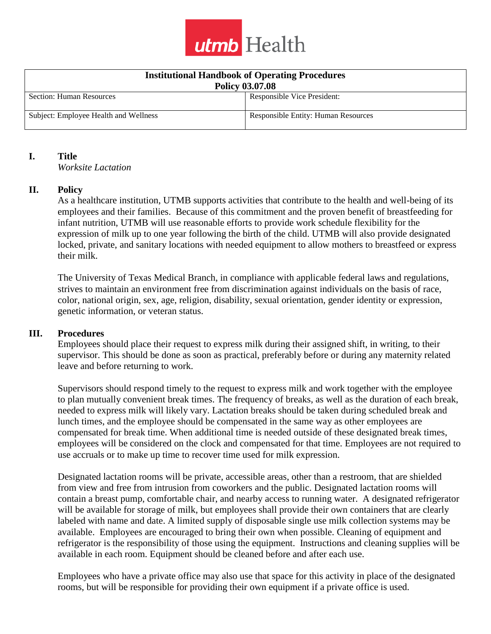

| <b>Institutional Handbook of Operating Procedures</b> |                                            |
|-------------------------------------------------------|--------------------------------------------|
| <b>Policy 03.07.08</b>                                |                                            |
| Section: Human Resources                              | Responsible Vice President:                |
| Subject: Employee Health and Wellness                 | <b>Responsible Entity: Human Resources</b> |

# **I. Title**

*Worksite Lactation*

#### **II. Policy**

As a healthcare institution, UTMB supports activities that contribute to the health and well-being of its employees and their families. Because of this commitment and the proven benefit of breastfeeding for infant nutrition, UTMB will use reasonable efforts to provide work schedule flexibility for the expression of milk up to one year following the birth of the child. UTMB will also provide designated locked, private, and sanitary locations with needed equipment to allow mothers to breastfeed or express their milk.

The University of Texas Medical Branch, in compliance with applicable federal laws and regulations, strives to maintain an environment free from discrimination against individuals on the basis of race, color, national origin, sex, age, religion, disability, sexual orientation, gender identity or expression, genetic information, or veteran status.

#### **III. Procedures**

Employees should place their request to express milk during their assigned shift, in writing, to their supervisor. This should be done as soon as practical, preferably before or during any maternity related leave and before returning to work.

Supervisors should respond timely to the request to express milk and work together with the employee to plan mutually convenient break times. The frequency of breaks, as well as the duration of each break, needed to express milk will likely vary. Lactation breaks should be taken during scheduled break and lunch times, and the employee should be compensated in the same way as other employees are compensated for break time. When additional time is needed outside of these designated break times, employees will be considered on the clock and compensated for that time. Employees are not required to use accruals or to make up time to recover time used for milk expression.

Designated lactation rooms will be private, accessible areas, other than a restroom, that are shielded from view and free from intrusion from coworkers and the public. Designated lactation rooms will contain a breast pump, comfortable chair, and nearby access to running water. A designated refrigerator will be available for storage of milk, but employees shall provide their own containers that are clearly labeled with name and date. A limited supply of disposable single use milk collection systems may be available. Employees are encouraged to bring their own when possible. Cleaning of equipment and refrigerator is the responsibility of those using the equipment. Instructions and cleaning supplies will be available in each room. Equipment should be cleaned before and after each use.

Employees who have a private office may also use that space for this activity in place of the designated rooms, but will be responsible for providing their own equipment if a private office is used.